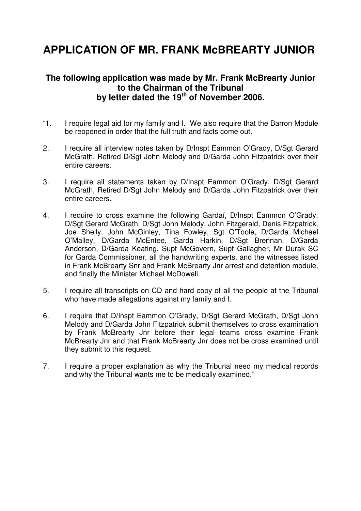# **APPLICATION OF MR. FRANK McBREARTY JUNIOR**

#### **The following application was made by Mr. Frank McBrearty Junior to the Chairman of the Tribunal by letter dated the 19th of November 2006.**

- "1. I require legal aid for my family and I. We also require that the Barron Module be reopened in order that the full truth and facts come out.
- 2. I require all interview notes taken by D/Inspt Eammon O'Grady, D/Sgt Gerard McGrath, Retired D/Sgt John Melody and D/Garda John Fitzpatrick over their entire careers.
- 3. I require all statements taken by D/Inspt Eammon O'Grady, D/Sgt Gerard McGrath, Retired D/Sgt John Melody and D/Garda John Fitzpatrick over their entire careers.
- 4. I require to cross examine the following Gardaí, D/Inspt Eammon O'Grady, D/Sgt Gerard McGrath, D/Sgt John Melody, John Fitzgerald, Denis Fitzpatrick, Joe Shelly, John McGinley, Tina Fowley, Sgt O'Toole, D/Garda Michael O'Malley, D/Garda McEntee, Garda Harkin, D/Sgt Brennan, D/Garda Anderson, D/Garda Keating, Supt McGovern, Supt Gallagher, Mr Durak SC for Garda Commissioner, all the handwriting experts, and the witnesses listed in Frank McBrearty Snr and Frank McBrearty Jnr arrest and detention module, and finally the Minister Michael McDowell.
- 5. I require all transcripts on CD and hard copy of all the people at the Tribunal who have made allegations against my family and I.
- 6. I require that D/Inspt Eammon O'Grady, D/Sgt Gerard McGrath, D/Sgt John Melody and D/Garda John Fitzpatrick submit themselves to cross examination by Frank McBrearty Jnr before their legal teams cross examine Frank McBrearty Jnr and that Frank McBrearty Jnr does not be cross examined until they submit to this request.
- 7. I require a proper explanation as why the Tribunal need my medical records and why the Tribunal wants me to be medically examined."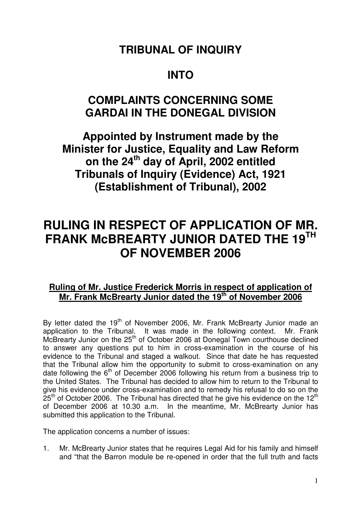# **TRIBUNAL OF INQUIRY**

### **INTO**

## **COMPLAINTS CONCERNING SOME GARDAI IN THE DONEGAL DIVISION**

**Appointed by Instrument made by the Minister for Justice, Equality and Law Reform on the 24th day of April, 2002 entitled Tribunals of Inquiry (Evidence) Act, 1921 (Establishment of Tribunal), 2002** 

# **RULING IN RESPECT OF APPLICATION OF MR. FRANK McBREARTY JUNIOR DATED THE 19TH OF NOVEMBER 2006**

### **Ruling of Mr. Justice Frederick Morris in respect of application of Mr. Frank McBrearty Junior dated the 19th of November 2006**

By letter dated the 19<sup>th</sup> of November 2006, Mr. Frank McBrearty Junior made an application to the Tribunal. It was made in the following context. Mr. Frank  $\overrightarrow{McB}$  McBrearty Junior on the 25<sup>th</sup> of October 2006 at Donegal Town courthouse declined to answer any questions put to him in cross-examination in the course of his evidence to the Tribunal and staged a walkout. Since that date he has requested that the Tribunal allow him the opportunity to submit to cross-examination on any date following the  $6<sup>th</sup>$  of December 2006 following his return from a business trip to the United States. The Tribunal has decided to allow him to return to the Tribunal to give his evidence under cross-examination and to remedy his refusal to do so on the  $25<sup>th</sup>$  of October 2006. The Tribunal has directed that he give his evidence on the 12<sup>th</sup> of December 2006 at 10.30 a.m. In the meantime, Mr. McBrearty Junior has submitted this application to the Tribunal.

The application concerns a number of issues:

1. Mr. McBrearty Junior states that he requires Legal Aid for his family and himself and "that the Barron module be re-opened in order that the full truth and facts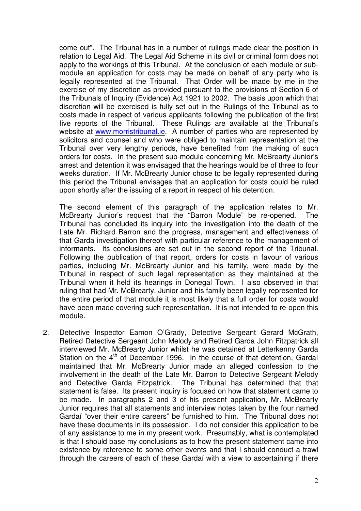come out". The Tribunal has in a number of rulings made clear the position in relation to Legal Aid. The Legal Aid Scheme in its civil or criminal form does not apply to the workings of this Tribunal. At the conclusion of each module or submodule an application for costs may be made on behalf of any party who is legally represented at the Tribunal. That Order will be made by me in the exercise of my discretion as provided pursuant to the provisions of Section 6 of the Tribunals of Inquiry (Evidence) Act 1921 to 2002. The basis upon which that discretion will be exercised is fully set out in the Rulings of the Tribunal as to costs made in respect of various applicants following the publication of the first five reports of the Tribunal. These Rulings are available at the Tribunal's website at www.morristribunal.ie. A number of parties who are represented by solicitors and counsel and who were obliged to maintain representation at the Tribunal over very lengthy periods, have benefited from the making of such orders for costs. In the present sub-module concerning Mr. McBrearty Junior's arrest and detention it was envisaged that the hearings would be of three to four weeks duration. If Mr. McBrearty Junior chose to be legally represented during this period the Tribunal envisages that an application for costs could be ruled upon shortly after the issuing of a report in respect of his detention.

The second element of this paragraph of the application relates to Mr. McBrearty Junior's request that the "Barron Module" be re-opened. The Tribunal has concluded its inquiry into the investigation into the death of the Late Mr. Richard Barron and the progress, management and effectiveness of that Garda investigation thereof with particular reference to the management of informants. Its conclusions are set out in the second report of the Tribunal. Following the publication of that report, orders for costs in favour of various parties, including Mr. McBrearty Junior and his family, were made by the Tribunal in respect of such legal representation as they maintained at the Tribunal when it held its hearings in Donegal Town. I also observed in that ruling that had Mr. McBrearty, Junior and his family been legally represented for the entire period of that module it is most likely that a full order for costs would have been made covering such representation. It is not intended to re-open this module.

2. Detective Inspector Eamon O'Grady, Detective Sergeant Gerard McGrath, Retired Detective Sergeant John Melody and Retired Garda John Fitzpatrick all interviewed Mr. McBrearty Junior whilst he was detained at Letterkenny Garda Station on the 4<sup>th</sup> of December 1996. In the course of that detention, Gardaí maintained that Mr. McBrearty Junior made an alleged confession to the involvement in the death of the Late Mr. Barron to Detective Sergeant Melody and Detective Garda Fitzpatrick. The Tribunal has determined that that statement is false. Its present inquiry is focused on how that statement came to be made. In paragraphs 2 and 3 of his present application, Mr. McBrearty Junior requires that all statements and interview notes taken by the four named Gardaí "over their entire careers" be furnished to him. The Tribunal does not have these documents in its possession. I do not consider this application to be of any assistance to me in my present work. Presumably, what is contemplated is that I should base my conclusions as to how the present statement came into existence by reference to some other events and that I should conduct a trawl through the careers of each of these Gardaí with a view to ascertaining if there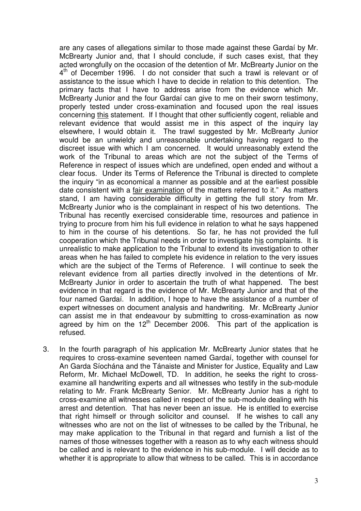are any cases of allegations similar to those made against these Gardaí by Mr. McBrearty Junior and, that I should conclude, if such cases exist, that they acted wrongfully on the occasion of the detention of Mr. McBrearty Junior on the 4<sup>th</sup> of December 1996. I do not consider that such a trawl is relevant or of assistance to the issue which I have to decide in relation to this detention. The primary facts that I have to address arise from the evidence which Mr. McBrearty Junior and the four Gardaí can give to me on their sworn testimony, properly tested under cross-examination and focused upon the real issues concerning this statement. If I thought that other sufficiently cogent, reliable and relevant evidence that would assist me in this aspect of the inquiry lay elsewhere, I would obtain it. The trawl suggested by Mr. McBrearty Junior would be an unwieldy and unreasonable undertaking having regard to the discreet issue with which I am concerned. It would unreasonably extend the work of the Tribunal to areas which are not the subject of the Terms of Reference in respect of issues which are undefined, open ended and without a clear focus. Under its Terms of Reference the Tribunal is directed to complete the inquiry "in as economical a manner as possible and at the earliest possible date consistent with a fair examination of the matters referred to it." As matters stand, I am having considerable difficulty in getting the full story from Mr. McBrearty Junior who is the complainant in respect of his two detentions. The Tribunal has recently exercised considerable time, resources and patience in trying to procure from him his full evidence in relation to what he says happened to him in the course of his detentions. So far, he has not provided the full cooperation which the Tribunal needs in order to investigate his complaints. It is unrealistic to make application to the Tribunal to extend its investigation to other areas when he has failed to complete his evidence in relation to the very issues which are the subject of the Terms of Reference. I will continue to seek the relevant evidence from all parties directly involved in the detentions of Mr. McBrearty Junior in order to ascertain the truth of what happened. The best evidence in that regard is the evidence of Mr. McBrearty Junior and that of the four named Gardaí. In addition, I hope to have the assistance of a number of expert witnesses on document analysis and handwriting. Mr. McBrearty Junior can assist me in that endeavour by submitting to cross-examination as now agreed by him on the  $12<sup>th</sup>$  December 2006. This part of the application is refused.

3. In the fourth paragraph of his application Mr. McBrearty Junior states that he requires to cross-examine seventeen named Gardaí, together with counsel for An Garda Síochána and the Tánaiste and Minister for Justice, Equality and Law Reform, Mr. Michael McDowell, TD. In addition, he seeks the right to crossexamine all handwriting experts and all witnesses who testify in the sub-module relating to Mr. Frank McBrearty Senior. Mr. McBrearty Junior has a right to cross-examine all witnesses called in respect of the sub-module dealing with his arrest and detention. That has never been an issue. He is entitled to exercise that right himself or through solicitor and counsel. If he wishes to call any witnesses who are not on the list of witnesses to be called by the Tribunal, he may make application to the Tribunal in that regard and furnish a list of the names of those witnesses together with a reason as to why each witness should be called and is relevant to the evidence in his sub-module. I will decide as to whether it is appropriate to allow that witness to be called. This is in accordance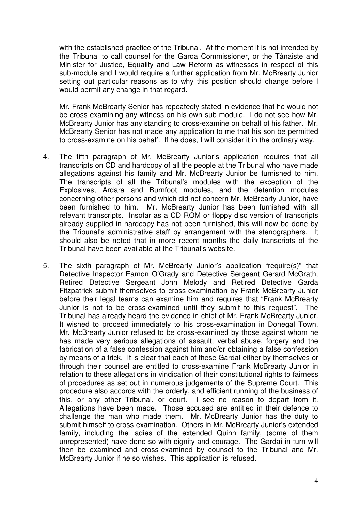with the established practice of the Tribunal. At the moment it is not intended by the Tribunal to call counsel for the Garda Commissioner, or the Tánaiste and Minister for Justice, Equality and Law Reform as witnesses in respect of this sub-module and I would require a further application from Mr. McBrearty Junior setting out particular reasons as to why this position should change before I would permit any change in that regard.

Mr. Frank McBrearty Senior has repeatedly stated in evidence that he would not be cross-examining any witness on his own sub-module. I do not see how Mr. McBrearty Junior has any standing to cross-examine on behalf of his father. Mr. McBrearty Senior has not made any application to me that his son be permitted to cross-examine on his behalf. If he does, I will consider it in the ordinary way.

- 4. The fifth paragraph of Mr. McBrearty Junior's application requires that all transcripts on CD and hardcopy of all the people at the Tribunal who have made allegations against his family and Mr. McBrearty Junior be furnished to him. The transcripts of all the Tribunal's modules with the exception of the Explosives, Ardara and Burnfoot modules, and the detention modules concerning other persons and which did not concern Mr. McBrearty Junior, have been furnished to him. Mr. McBrearty Junior has been furnished with all relevant transcripts. Insofar as a CD ROM or floppy disc version of transcripts already supplied in hardcopy has not been furnished, this will now be done by the Tribunal's administrative staff by arrangement with the stenographers. It should also be noted that in more recent months the daily transcripts of the Tribunal have been available at the Tribunal's website.
- 5. The sixth paragraph of Mr. McBrearty Junior's application "require(s)" that Detective Inspector Eamon O'Grady and Detective Sergeant Gerard McGrath, Retired Detective Sergeant John Melody and Retired Detective Garda Fitzpatrick submit themselves to cross-examination by Frank McBrearty Junior before their legal teams can examine him and requires that "Frank McBrearty Junior is not to be cross-examined until they submit to this request". The Tribunal has already heard the evidence-in-chief of Mr. Frank McBrearty Junior. It wished to proceed immediately to his cross-examination in Donegal Town. Mr. McBrearty Junior refused to be cross-examined by those against whom he has made very serious allegations of assault, verbal abuse, forgery and the fabrication of a false confession against him and/or obtaining a false confession by means of a trick. It is clear that each of these Gardaí either by themselves or through their counsel are entitled to cross-examine Frank McBrearty Junior in relation to these allegations in vindication of their constitutional rights to fairness of procedures as set out in numerous judgements of the Supreme Court. This procedure also accords with the orderly, and efficient running of the business of this, or any other Tribunal, or court. I see no reason to depart from it. Allegations have been made. Those accused are entitled in their defence to challenge the man who made them. Mr. McBrearty Junior has the duty to submit himself to cross-examination. Others in Mr. McBrearty Junior's extended family, including the ladies of the extended Quinn family, (some of them unrepresented) have done so with dignity and courage. The Gardaí in turn will then be examined and cross-examined by counsel to the Tribunal and Mr. McBrearty Junior if he so wishes. This application is refused.